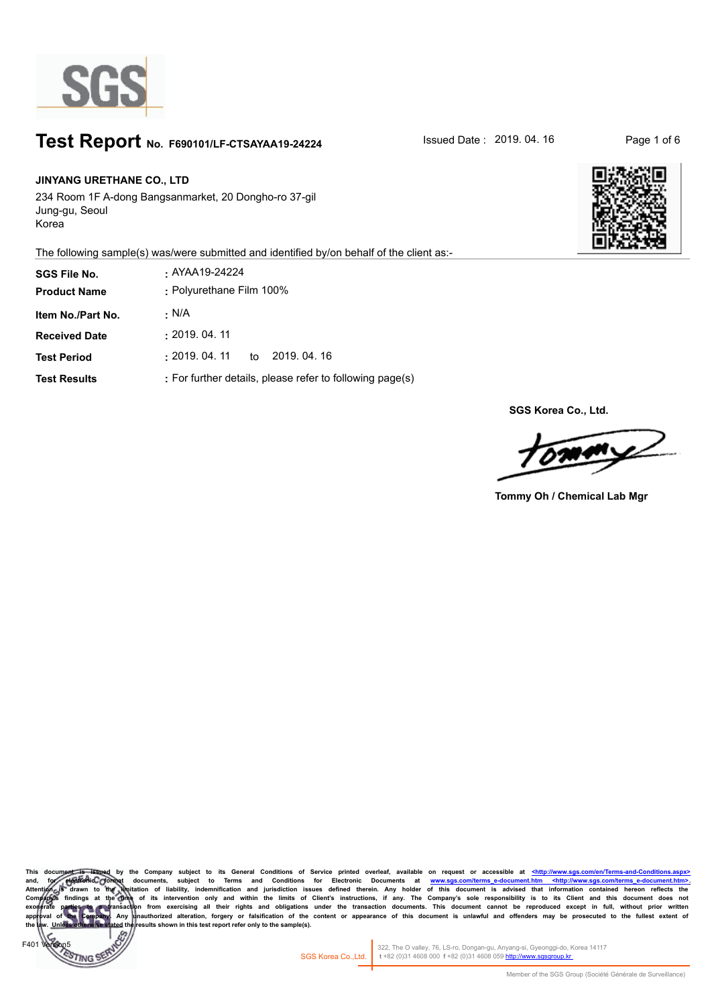

# **Test Report** No. F690101/LF-CTSAYAA19-24224 **No. 15 Issued Date : 2019. 04. 16** Page 1 of 6

#### **JINYANG URETHANE CO., LTD**

F401 Version5

TING<sup>®</sup>

234 Room 1F A-dong Bangsanmarket, 20 Dongho-ro 37-gil Jung-gu, Seoul Korea

The following sample(s) was/were submitted and identified by/on behalf of the client as:-

| <b>SGS File No.</b>  | . AYAA19-24224                                           |
|----------------------|----------------------------------------------------------|
| <b>Product Name</b>  | : Polyurethane Film 100%                                 |
| Item No./Part No.    | · N/A                                                    |
| <b>Received Date</b> | : 2019.04.11                                             |
| <b>Test Period</b>   | :2019. 04. 11<br>to 2019, 04, 16                         |
| <b>Test Results</b>  | : For further details, please refer to following page(s) |



**SGS Korea Co., Ltd.**

 $\sqrt{M}$ 

**Tommy Oh / Chemical Lab Mgr**

Company subject to its General Conditions of Service printed overleaf, available on request or accessible at <http://www.sgs.com/en/Terms-andand, for electronic formet documents, subject to Terms and Conditions for Electronic Documents at <u>www.sgs.com/terms e-document.htm <http://www.sgs.com/terms e-document.htm = http://www.sgs.com/terms e-document.htm<br>Attenti</u> Company)s findings at the Ome of its intervention only and within the limits of Client's instructions, if any. The Company's sole responsibility is to its Client and this document does not responsibility is to its Client sults shown in this test report refer only to the sample(s).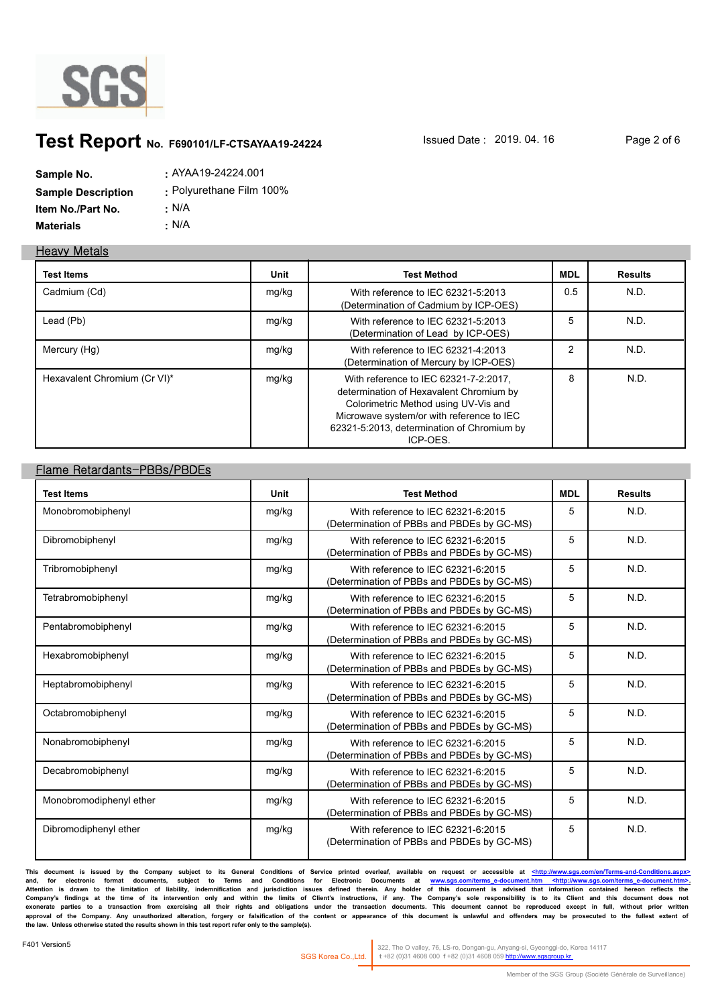

# **Test Report** No. F690101/LF-CTSAYAA19-24224 **Issued Date : 2019. 04. 16** Page 2 of 6

| Sample No.                | : AYAA19-24224.001       |
|---------------------------|--------------------------|
| <b>Sample Description</b> | : Polyurethane Film 100% |
| <b>Item No./Part No.</b>  | ∴ N/A                    |
| Materials                 | • N/A                    |

#### **Heavy Metals**

| <b>Test Items</b>            | Unit  | <b>Test Method</b>                                                                                                                                                                                                              | MDL           | Results |
|------------------------------|-------|---------------------------------------------------------------------------------------------------------------------------------------------------------------------------------------------------------------------------------|---------------|---------|
| Cadmium (Cd)                 | mg/kg | With reference to IEC 62321-5:2013<br>(Determination of Cadmium by ICP-OES)                                                                                                                                                     | 0.5           | N.D.    |
| Lead (Pb)                    | mg/kg | With reference to IEC 62321-5:2013<br>(Determination of Lead by ICP-OES)                                                                                                                                                        | 5             | N.D.    |
| Mercury (Hg)                 | mg/kg | With reference to IEC 62321-4:2013<br>(Determination of Mercury by ICP-OES)                                                                                                                                                     | $\mathcal{P}$ | N.D.    |
| Hexavalent Chromium (Cr VI)* | mg/kg | With reference to IEC 62321-7-2:2017,<br>determination of Hexavalent Chromium by<br>Colorimetric Method using UV-Vis and<br>Microwave system/or with reference to IEC<br>62321-5:2013, determination of Chromium by<br>ICP-OES. | 8             | N.D.    |

### **Flame Retardants-PBBs/PBDEs**

| <b>Test Items</b>       | Unit  | <b>Test Method</b>                                                               | <b>MDL</b> | <b>Results</b> |
|-------------------------|-------|----------------------------------------------------------------------------------|------------|----------------|
| Monobromobiphenyl       | mg/kg | With reference to IEC 62321-6:2015<br>(Determination of PBBs and PBDEs by GC-MS) | 5          | N.D.           |
| Dibromobiphenyl         | mg/kg | With reference to IEC 62321-6:2015<br>(Determination of PBBs and PBDEs by GC-MS) | 5          | N.D.           |
| Tribromobiphenyl        | mg/kg | With reference to IEC 62321-6:2015<br>(Determination of PBBs and PBDEs by GC-MS) | 5          | N.D.           |
| Tetrabromobiphenyl      | mg/kg | With reference to IEC 62321-6:2015<br>(Determination of PBBs and PBDEs by GC-MS) | 5          | N.D.           |
| Pentabromobiphenyl      | mg/kg | With reference to IEC 62321-6:2015<br>(Determination of PBBs and PBDEs by GC-MS) | 5          | N.D.           |
| Hexabromobiphenyl       | mg/kg | With reference to IEC 62321-6:2015<br>(Determination of PBBs and PBDEs by GC-MS) | 5          | N.D.           |
| Heptabromobiphenyl      | mg/kg | With reference to IEC 62321-6:2015<br>(Determination of PBBs and PBDEs by GC-MS) | 5          | N.D.           |
| Octabromobiphenyl       | mg/kg | With reference to IEC 62321-6:2015<br>(Determination of PBBs and PBDEs by GC-MS) | 5          | N.D.           |
| Nonabromobiphenyl       | mg/kg | With reference to IEC 62321-6:2015<br>(Determination of PBBs and PBDEs by GC-MS) | 5          | N.D.           |
| Decabromobiphenyl       | mg/kg | With reference to IEC 62321-6:2015<br>(Determination of PBBs and PBDEs by GC-MS) | 5          | N.D.           |
| Monobromodiphenyl ether | mg/kg | With reference to IEC 62321-6:2015<br>(Determination of PBBs and PBDEs by GC-MS) | 5          | N.D.           |
| Dibromodiphenyl ether   | mg/kg | With reference to IEC 62321-6:2015<br>(Determination of PBBs and PBDEs by GC-MS) | 5          | N.D.           |

**This document is issued by the Company subject to its General Conditions of Service printed overleaf, available on request or accessible at <http://www.sgs.com/en/Terms-and-Conditions.aspx>** and, for electronic format documents, subject to Terms and Conditions for Electronic Documents at <u>www.sgs.com/terms-e-document.htm <http://www.sgs.com/terms-e-document.htm>.</u><br>Attention is drawn to the limitation of liabil Company's findings at the time of its intervention only and within the limits of Client's instructions, if any. The Company's sole responsibility is to its Client and this document does not<br>exonerate parties to a transacti **the law. Unless otherwise stated the results shown in this test report refer only to the sample(s).**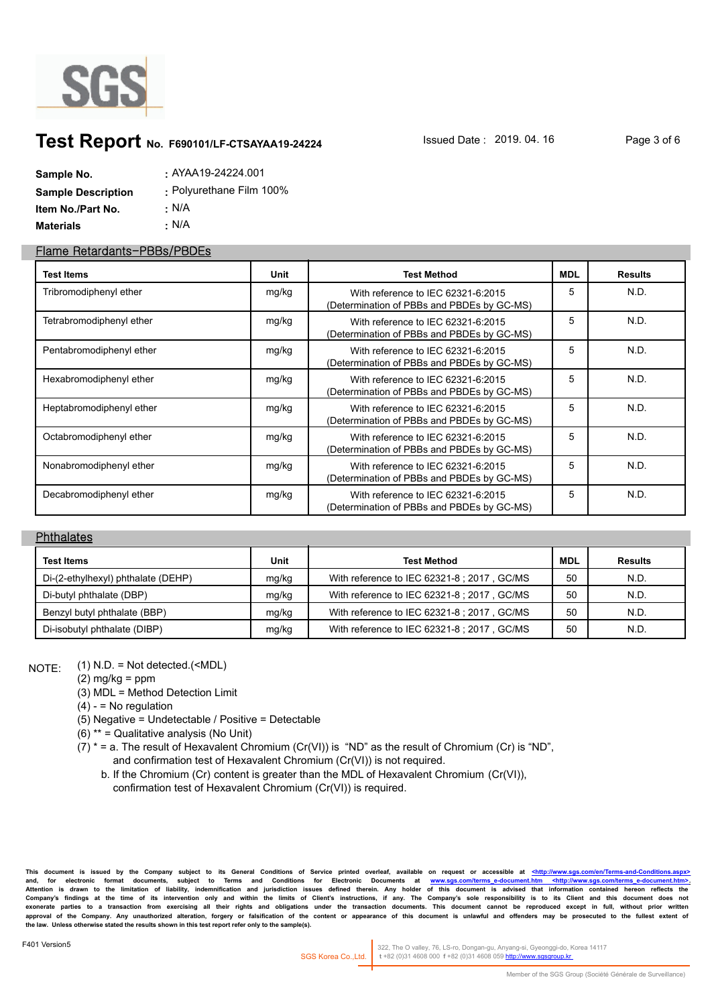

## **Test Report** No. F690101/LF-CTSAYAA19-24224 **No. 15 Issued Date : 2019. 04. 16** Page 3 of 6

| Sample No.                | . AYAA19-24224.001       |
|---------------------------|--------------------------|
| <b>Sample Description</b> | : Polyurethane Film 100% |
| Item No./Part No.         | • N/A                    |
| Materials                 | $\cdot$ N/A              |

#### **Flame Retardants-PBBs/PBDEs**

| <b>Test Items</b>        | Unit  | <b>Test Method</b>                                                               | MDL | <b>Results</b> |
|--------------------------|-------|----------------------------------------------------------------------------------|-----|----------------|
| Tribromodiphenyl ether   | mg/kg | With reference to IEC 62321-6:2015<br>(Determination of PBBs and PBDEs by GC-MS) | 5   | N.D.           |
| Tetrabromodiphenyl ether | mg/kg | With reference to IEC 62321-6:2015<br>(Determination of PBBs and PBDEs by GC-MS) | 5   | N.D.           |
| Pentabromodiphenyl ether | mg/kg | With reference to IEC 62321-6:2015<br>(Determination of PBBs and PBDEs by GC-MS) | 5   | N.D.           |
| Hexabromodiphenyl ether  | mg/kg | With reference to IEC 62321-6:2015<br>(Determination of PBBs and PBDEs by GC-MS) | 5   | N.D.           |
| Heptabromodiphenyl ether | mg/kg | With reference to IEC 62321-6:2015<br>(Determination of PBBs and PBDEs by GC-MS) | 5   | N.D.           |
| Octabromodiphenyl ether  | mg/kg | With reference to IEC 62321-6:2015<br>(Determination of PBBs and PBDEs by GC-MS) | 5   | N.D.           |
| Nonabromodiphenyl ether  | mg/kg | With reference to IEC 62321-6:2015<br>(Determination of PBBs and PBDEs by GC-MS) | 5   | N.D.           |
| Decabromodiphenyl ether  | mg/kg | With reference to IEC 62321-6:2015<br>(Determination of PBBs and PBDEs by GC-MS) | 5   | N.D.           |

#### **Phthalates**

| <b>Test Items</b>                  | Unit  | <b>Test Method</b>                          | <b>MDL</b> | <b>Results</b> |
|------------------------------------|-------|---------------------------------------------|------------|----------------|
| Di-(2-ethylhexyl) phthalate (DEHP) | mg/kg | With reference to IEC 62321-8 ; 2017, GC/MS | 50         | N.D.           |
| Di-butyl phthalate (DBP)           | mg/kg | With reference to IEC 62321-8 ; 2017, GC/MS | 50         | N.D.           |
| Benzyl butyl phthalate (BBP)       | mg/kg | With reference to IEC 62321-8 ; 2017, GC/MS | 50         | N.D.           |
| Di-isobutyl phthalate (DIBP)       | mg/kg | With reference to IEC 62321-8 ; 2017, GC/MS | 50         | N.D.           |

(1) N.D. = Not detected.(<MDL) NOTE:

 $(2)$  mg/kg = ppm

(3) MDL = Method Detection Limit

 $(4) - 5$  No regulation

(5) Negative = Undetectable / Positive = Detectable

(6) \*\* = Qualitative analysis (No Unit)

 $(7)$  \* = a. The result of Hexavalent Chromium (Cr(VI)) is "ND" as the result of Chromium (Cr) is "ND", and confirmation test of Hexavalent Chromium (Cr(VI)) is not required.

 b. If the Chromium (Cr) content is greater than the MDL of Hexavalent Chromium (Cr(VI)), confirmation test of Hexavalent Chromium (Cr(VI)) is required.

**This document is issued by the Company subject to its General Conditions of Service printed overleaf, available on request or accessible at <http://www.sgs.com/en/Terms-and-Conditions.aspx>** and, for electronic format documents, subject to Terms and Conditions for Electronic Documents at <u>www.sgs.com/terms-e-document.htm <http://www.sgs.com/terms-e-document.htm>.</u><br>Attention is drawn to the limitation of liabil Company's findings at the time of its intervention only and within the limits of Client's instructions, if any. The Company's sole responsibility is to its Client and this document does not<br>exonerate parties to a transacti **the law. Unless otherwise stated the results shown in this test report refer only to the sample(s).**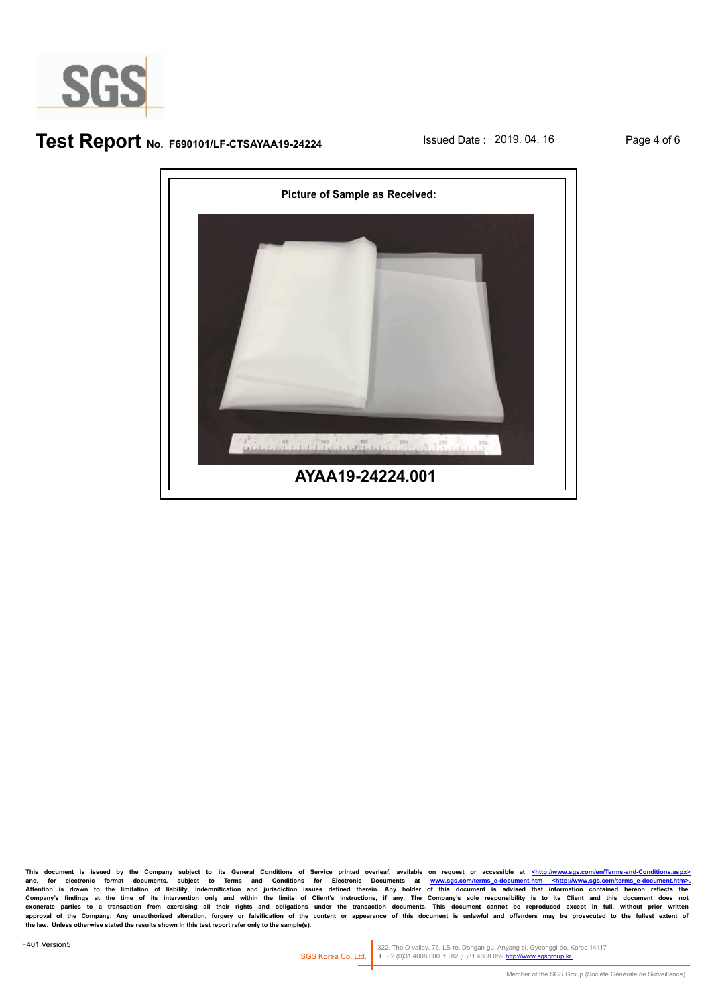

## **Test Report** No. F690101/LF-CTSAYAA19-24224 **Issued Date : 2019. 04. 16** Page 4 of 6



**This document is issued by the Company subject to its General Conditions of Service printed overleaf, available on request or accessible at <http://www.sgs.com/en/Terms-and-Conditions.aspx>** and, for electronic format documents, subject to Terms and Conditions for Electronic Documents at <u>www.sgs.com/terms-e-document.htm <http://www.sgs.com/terms-e-document.htm>.</u><br>Attention is drawn to the limitation of liabil Company's findings at the time of its intervention only and within the limits of Client's instructions, if any. The Company's sole responsibility is to its Client and this document does not<br>exonerate parties to a transacti **the law. Unless otherwise stated the results shown in this test report refer only to the sample(s).**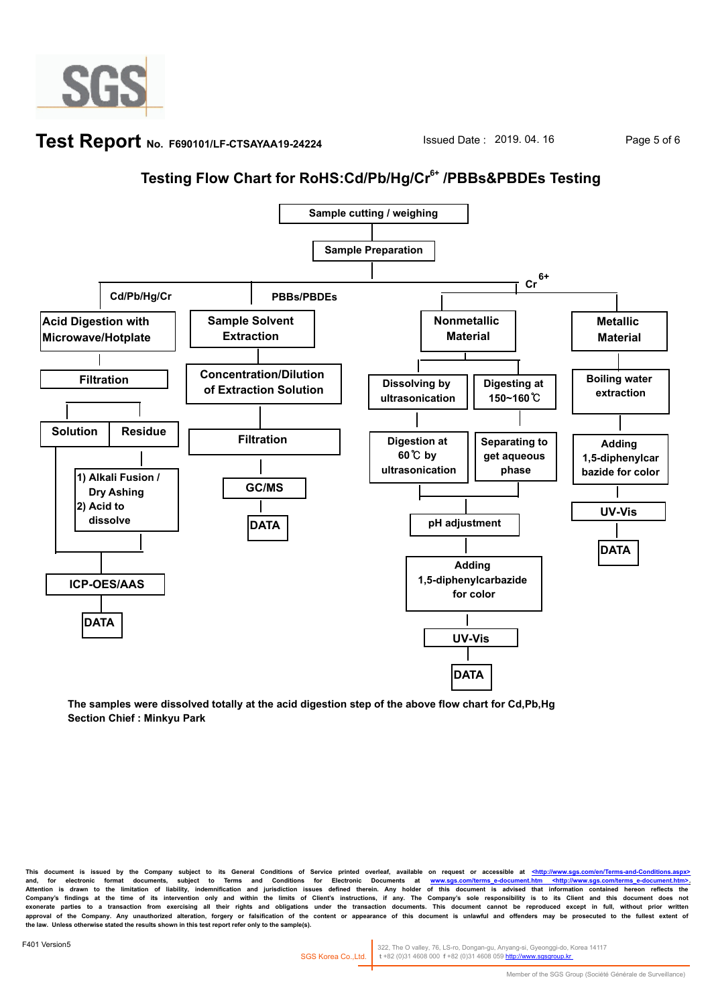

## **Test Report** No. F690101/LF-CTSAYAA19-24224 **No. 15 Issued Date : 2019. 04. 16** Page 5 of 6

# **Testing Flow Chart for RoHS:Cd/Pb/Hg/Cr6+ /PBBs&PBDEs Testing**



**The samples were dissolved totally at the acid digestion step of the above flow chart for Cd,Pb,Hg Section Chief : Minkyu Park**

This document is issued by the Company subject to its General Conditions of Service printed overleaf, available on request or accessible at <http://www.sgs.com/en/Terms-and-Con and, for electronic format documents, subject to Terms and Conditions for Electronic Documents at <u>www.sgs.com/terms e-document.htm <http://www.sgs.com/terms e-document.htm .<br>Attention is drawn to the limitation of liabili</u> approval of the Company. Any unauthorized alteration, forgery or falsification of the content or appearance of this document is unlawful and offenders may be prosecuted to the fullest extent of **the law. Unless otherwise stated the results shown in this test report refer only to the sample(s).**